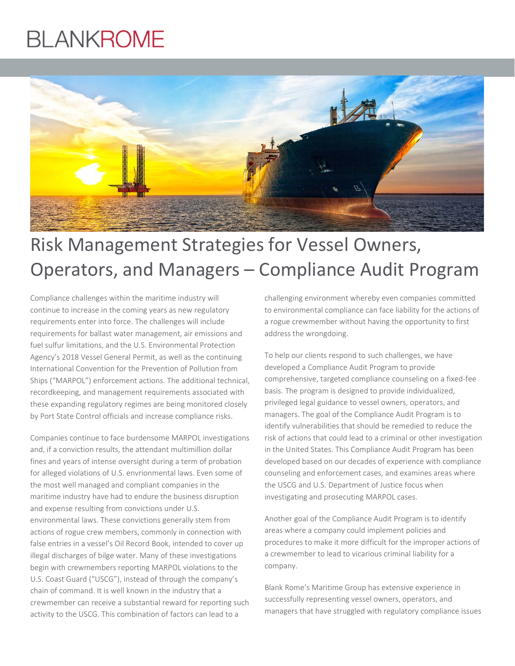# **BLANKROME**



## Risk Management Strategies for Vessel Owners, Operators, and Managers – Compliance Audit Program

Compliance challenges within the maritime industry will continue to increase in the coming years as new regulatory requirements enter into force. The challenges will include requirements for ballast water management, air emissions and fuel sulfur limitations, and the U.S. Environmental Protection Agency's 2018 Vessel General Permit, as well as the continuing International Convention for the Prevention of Pollution from Ships ("MARPOL") enforcement actions. The additional technical, recordkeeping, and management requirements associated with these expanding regulatory regimes are being monitored closely by Port State Control officials and increase compliance risks.

Companies continue to face burdensome MARPOL investigations and, if a conviction results, the attendant multimillion dollar fines and years of intense oversight during a term of probation for alleged violations of U.S. envrionmental laws. Even some of the most well managed and compliant companies in the maritime industry have had to endure the business disruption and expense resulting from convictions under U.S. environmental laws. These convictions generally stem from actions of rogue crew members, commonly in connection with false entries in a vessel's Oil Record Book, intended to cover up illegal discharges of bilge water. Many of these investigations begin with crewmembers reporting MARPOL violations to the U.S. Coast Guard ("USCG"), instead of through the company's chain of command. It is well known in the industry that a crewmember can receive a substantial reward for reporting such activity to the USCG. This combination of factors can lead to a

challenging environment whereby even companies committed to environmental compliance can face liability for the actions of a rogue crewmember without having the opportunity to first address the wrongdoing.

To help our clients respond to such challenges, we have developed a Compliance Audit Program to provide comprehensive, targeted compliance counseling on a fixed-fee basis. The program is designed to provide individualized, privileged legal guidance to vessel owners, operators, and managers. The goal of the Compliance Audit Program is to identify vulnerabilities that should be remedied to reduce the risk of actions that could lead to a criminal or other investigation in the United States. This Compliance Audit Program has been developed based on our decades of experience with compliance counseling and enforcement cases, and examines areas where the USCG and U.S. Department of Justice focus when investigating and prosecuting MARPOL cases.

Another goal of the Compliance Audit Program is to identify areas where a company could implement policies and procedures to make it more difficult for the improper actions of a crewmember to lead to vicarious criminal liability for a company.

Blank Rome's Maritime Group has extensive experience in successfully representing vessel owners, operators, and managers that have struggled with regulatory compliance issues